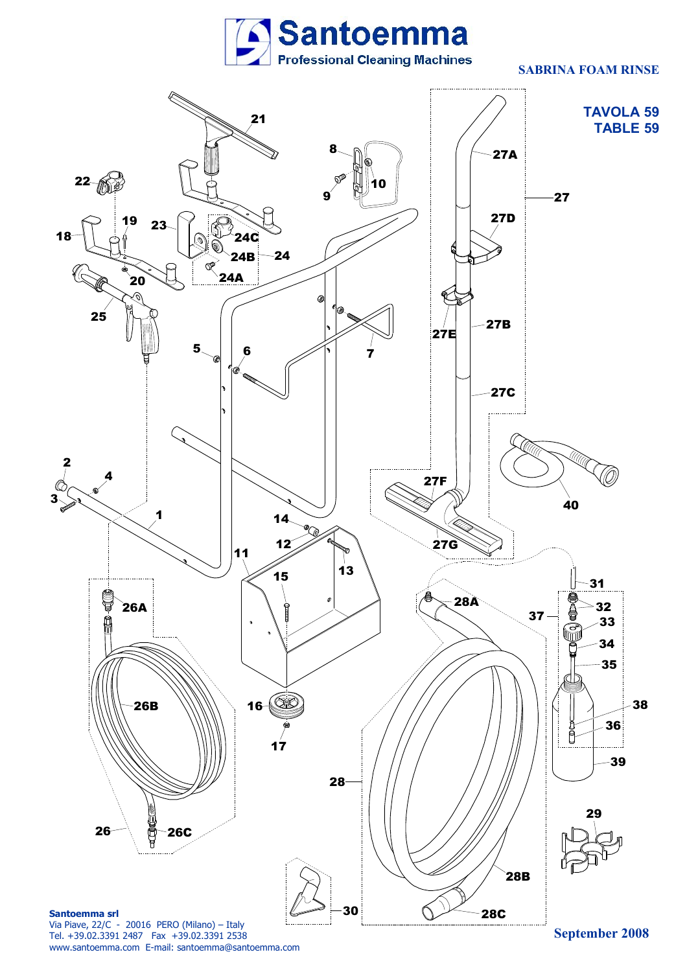

## **SABRINA FOAM RINSE**



www.santoemma.com E-mail: santoemma@santoemma.com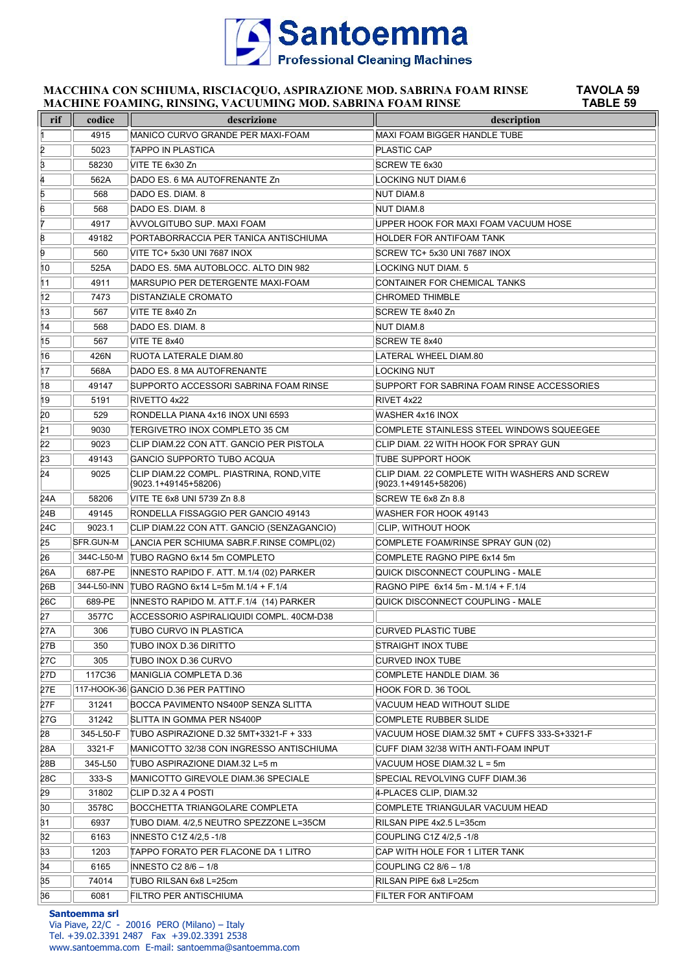

### **MACCHINA CON SCHIUMA, RISCIACQUO, ASPIRAZIONE MOD. SABRINA FOAM RINSE TAVOLA 59 MACHINE FOAMING, RINSING, VACUUMING MOD. SABRINA FOAM RINSE TABLE 59**

| rif | codice     | descrizione                                                       | description                                                           |
|-----|------------|-------------------------------------------------------------------|-----------------------------------------------------------------------|
| 11. | 4915       | MANICO CURVO GRANDE PER MAXI-FOAM                                 | <b>MAXI FOAM BIGGER HANDLE TUBE</b>                                   |
| 2   | 5023       | TAPPO IN PLASTICA                                                 | <b>PLASTIC CAP</b>                                                    |
| β   | 58230      | VITE TE 6x30 Zn                                                   | SCREW TE 6x30                                                         |
| 4   | 562A       | DADO ES. 6 MA AUTOFRENANTE Zn                                     | <b>LOCKING NUT DIAM.6</b>                                             |
| 5   | 568        | DADO ES. DIAM. 8                                                  | <b>NUT DIAM.8</b>                                                     |
| 6   | 568        | DADO ES. DIAM. 8                                                  | <b>NUT DIAM.8</b>                                                     |
| 7   | 4917       | AVVOLGITUBO SUP. MAXI FOAM                                        | UPPER HOOK FOR MAXI FOAM VACUUM HOSE                                  |
| 8   | 49182      | PORTABORRACCIA PER TANICA ANTISCHIUMA                             | <b>HOLDER FOR ANTIFOAM TANK</b>                                       |
| 9   | 560        | VITE TC+ 5x30 UNI 7687 INOX                                       | SCREW TC+ 5x30 UNI 7687 INOX                                          |
| 10  | 525A       | DADO ES. 5MA AUTOBLOCC. ALTO DIN 982                              | LOCKING NUT DIAM. 5                                                   |
| 11  | 4911       | MARSUPIO PER DETERGENTE MAXI-FOAM                                 | CONTAINER FOR CHEMICAL TANKS                                          |
| 12  | 7473       | <b>DISTANZIALE CROMATO</b>                                        | <b>CHROMED THIMBLE</b>                                                |
| 13  | 567        | VITE TE 8x40 Zn                                                   | SCREW TE 8x40 Zn                                                      |
| 14  | 568        | DADO ES. DIAM. 8                                                  | <b>NUT DIAM.8</b>                                                     |
| 15  | 567        | VITE TE 8x40                                                      | SCREW TE 8x40                                                         |
| 16  | 426N       | RUOTA LATERALE DIAM.80                                            | LATERAL WHEEL DIAM.80                                                 |
| 17  | 568A       | DADO ES. 8 MA AUTOFRENANTE                                        | LOCKING NUT                                                           |
| 18  | 49147      | SUPPORTO ACCESSORI SABRINA FOAM RINSE                             | SUPPORT FOR SABRINA FOAM RINSE ACCESSORIES                            |
| 19  | 5191       | RIVETTO 4x22                                                      | RIVET 4x22                                                            |
| 20  | 529        | RONDELLA PIANA 4x16 INOX UNI 6593                                 | <b>WASHER 4x16 INOX</b>                                               |
| 21  | 9030       | <b>TERGIVETRO INOX COMPLETO 35 CM</b>                             | COMPLETE STAINLESS STEEL WINDOWS SQUEEGEE                             |
| 22  | 9023       | CLIP DIAM.22 CON ATT. GANCIO PER PISTOLA                          | CLIP DIAM. 22 WITH HOOK FOR SPRAY GUN                                 |
| 23  | 49143      | GANCIO SUPPORTO TUBO ACQUA                                        | TUBE SUPPORT HOOK                                                     |
| 24  | 9025       | CLIP DIAM.22 COMPL. PIASTRINA, ROND, VITE<br>(9023.1+49145+58206) | CLIP DIAM. 22 COMPLETE WITH WASHERS AND SCREW<br>(9023.1+49145+58206) |
| 24A | 58206      | VITE TE 6x8 UNI 5739 Zn 8.8                                       | SCREW TE 6x8 Zn 8.8                                                   |
| 24B | 49145      | RONDELLA FISSAGGIO PER GANCIO 49143                               | WASHER FOR HOOK 49143                                                 |
| 24C | 9023.1     | CLIP DIAM.22 CON ATT. GANCIO (SENZAGANCIO)                        | CLIP, WITHOUT HOOK                                                    |
| 25  | SFR.GUN-M  | LANCIA PER SCHIUMA SABR.F.RINSE COMPL(02)                         | COMPLETE FOAM/RINSE SPRAY GUN (02)                                    |
| 26  | 344C-L50-M | TUBO RAGNO 6x14 5m COMPLETO                                       | COMPLETE RAGNO PIPE 6x14 5m                                           |
| 26A | 687-PE     | INNESTO RAPIDO F. ATT. M.1/4 (02) PARKER                          | QUICK DISCONNECT COUPLING - MALE                                      |
| 26B |            | 344-L50-INN   TUBO RAGNO 6x14 L=5m M.1/4 + F.1/4                  | RAGNO PIPE 6x14 5m - M.1/4 + F.1/4                                    |
| 26C | 689-PE     | INNESTO RAPIDO M. ATT.F.1/4 (14) PARKER                           | QUICK DISCONNECT COUPLING - MALE                                      |
| 27  | 3577C      | ACCESSORIO ASPIRALIQUIDI COMPL. 40CM-D38                          |                                                                       |
| 27A | 306        | TUBO CURVO IN PLASTICA                                            | <b>CURVED PLASTIC TUBE</b>                                            |
| 27B | 350        | TUBO INOX D.36 DIRITTO                                            | STRAIGHT INOX TUBE                                                    |
| 27C | 305        | TUBO INOX D.36 CURVO                                              | <b>CURVED INOX TUBE</b>                                               |
| 27D | 117C36     | MANIGLIA COMPLETA D.36                                            | COMPLETE HANDLE DIAM. 36                                              |
| 27E |            | 117-HOOK-36 GANCIO D.36 PER PATTINO                               | HOOK FOR D. 36 TOOL                                                   |
| 27F | 31241      | BOCCA PAVIMENTO NS400P SENZA SLITTA                               | VACUUM HEAD WITHOUT SLIDE                                             |
| 27G | 31242      | SLITTA IN GOMMA PER NS400P                                        | <b>COMPLETE RUBBER SLIDE</b>                                          |
| 28  | 345-L50-F  | TUBO ASPIRAZIONE D.32 5MT+3321-F + 333                            | VACUUM HOSE DIAM.32 5MT + CUFFS 333-S+3321-F                          |
| 28A | 3321-F     | MANICOTTO 32/38 CON INGRESSO ANTISCHIUMA                          | CUFF DIAM 32/38 WITH ANTI-FOAM INPUT                                  |
| 28B | 345-L50    | TUBO ASPIRAZIONE DIAM.32 L=5 m                                    | VACUUM HOSE DIAM.32 L = 5m                                            |
| 28C | 333-S      | MANICOTTO GIREVOLE DIAM.36 SPECIALE                               | SPECIAL REVOLVING CUFF DIAM.36                                        |
| 29  | 31802      | CLIP D.32 A 4 POSTI                                               | 4-PLACES CLIP, DIAM.32                                                |
| 30  | 3578C      | BOCCHETTA TRIANGOLARE COMPLETA                                    | COMPLETE TRIANGULAR VACUUM HEAD                                       |
| 31  | 6937       | TUBO DIAM. 4/2,5 NEUTRO SPEZZONE L=35CM                           | RILSAN PIPE 4x2.5 L=35cm                                              |
| 32  | 6163       | <b>INNESTO C1Z 4/2,5 -1/8</b>                                     | COUPLING C1Z 4/2,5 -1/8                                               |
| 33  | 1203       | TAPPO FORATO PER FLACONE DA 1 LITRO                               | CAP WITH HOLE FOR 1 LITER TANK                                        |
| 34  | 6165       | INNESTO C2 8/6 - 1/8                                              | COUPLING C2 8/6 - 1/8                                                 |
| 35  | 74014      | TUBO RILSAN 6x8 L=25cm                                            | RILSAN PIPE 6x8 L=25cm                                                |
| 36  | 6081       | FILTRO PER ANTISCHIUMA                                            | FILTER FOR ANTIFOAM                                                   |